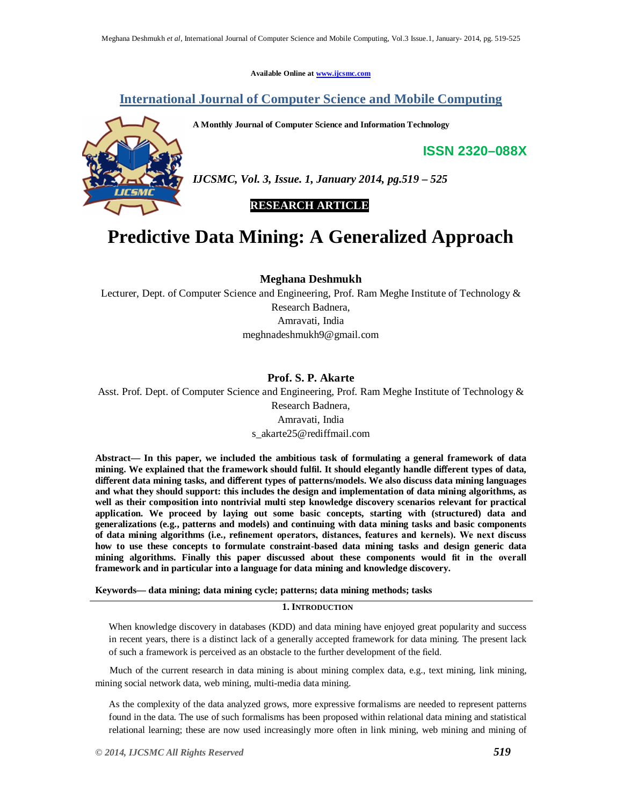**Available Online at www.ijcsmc.com**

# **International Journal of Computer Science and Mobile Computing**

**A Monthly Journal of Computer Science and Information Technology**

**ISSN 2320–088X**



*IJCSMC, Vol. 3, Issue. 1, January 2014, pg.519 – 525*

 **RESEARCH ARTICLE**

# **Predictive Data Mining: A Generalized Approach**

**Meghana Deshmukh** 

Lecturer, Dept. of Computer Science and Engineering, Prof. Ram Meghe Institute of Technology & Research Badnera, Amravati, India meghnadeshmukh9@gmail.com

# **Prof. S. P. Akarte**

Asst. Prof. Dept. of Computer Science and Engineering, Prof. Ram Meghe Institute of Technology & Research Badnera, Amravati, India s\_akarte25@rediffmail.com

**Abstract— In this paper, we included the ambitious task of formulating a general framework of data mining. We explained that the framework should fulfil. It should elegantly handle different types of data, different data mining tasks, and different types of patterns/models. We also discuss data mining languages and what they should support: this includes the design and implementation of data mining algorithms, as well as their composition into nontrivial multi step knowledge discovery scenarios relevant for practical application. We proceed by laying out some basic concepts, starting with (structured) data and generalizations (e.g., patterns and models) and continuing with data mining tasks and basic components of data mining algorithms (i.e., refinement operators, distances, features and kernels). We next discuss how to use these concepts to formulate constraint-based data mining tasks and design generic data mining algorithms. Finally this paper discussed about these components would fit in the overall framework and in particular into a language for data mining and knowledge discovery.**

**Keywords— data mining; data mining cycle; patterns; data mining methods; tasks**

### **1. INTRODUCTION**

When knowledge discovery in databases (KDD) and data mining have enjoyed great popularity and success in recent years, there is a distinct lack of a generally accepted framework for data mining. The present lack of such a framework is perceived as an obstacle to the further development of the field.

 Much of the current research in data mining is about mining complex data, e.g., text mining, link mining, mining social network data, web mining, multi-media data mining.

As the complexity of the data analyzed grows, more expressive formalisms are needed to represent patterns found in the data. The use of such formalisms has been proposed within relational data mining and statistical relational learning; these are now used increasingly more often in link mining, web mining and mining of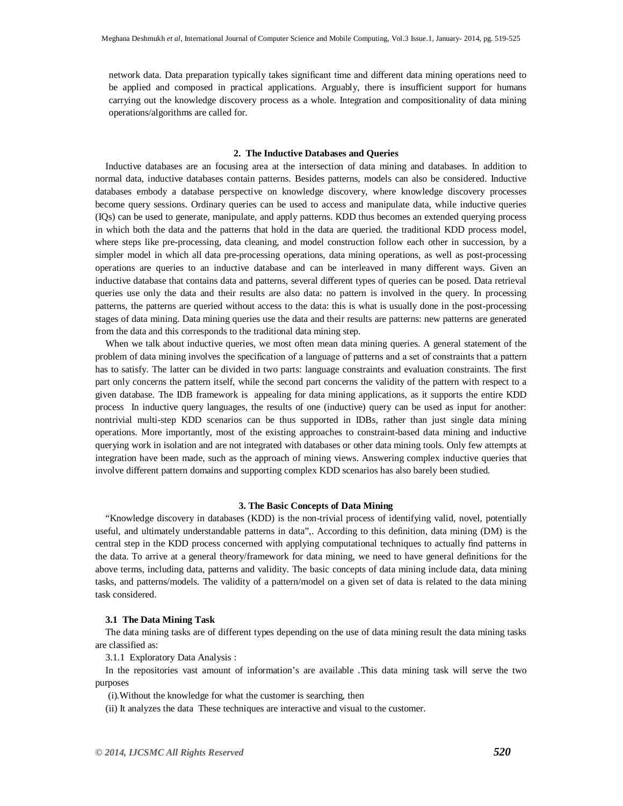network data. Data preparation typically takes significant time and different data mining operations need to be applied and composed in practical applications. Arguably, there is insufficient support for humans carrying out the knowledge discovery process as a whole. Integration and compositionality of data mining operations/algorithms are called for.

#### **2. The Inductive Databases and Queries**

Inductive databases are an focusing area at the intersection of data mining and databases. In addition to normal data, inductive databases contain patterns. Besides patterns, models can also be considered. Inductive databases embody a database perspective on knowledge discovery, where knowledge discovery processes become query sessions. Ordinary queries can be used to access and manipulate data, while inductive queries (IQs) can be used to generate, manipulate, and apply patterns. KDD thus becomes an extended querying process in which both the data and the patterns that hold in the data are queried. the traditional KDD process model, where steps like pre-processing, data cleaning, and model construction follow each other in succession, by a simpler model in which all data pre-processing operations, data mining operations, as well as post-processing operations are queries to an inductive database and can be interleaved in many different ways. Given an inductive database that contains data and patterns, several different types of queries can be posed. Data retrieval queries use only the data and their results are also data: no pattern is involved in the query. In processing patterns, the patterns are queried without access to the data: this is what is usually done in the post-processing stages of data mining. Data mining queries use the data and their results are patterns: new patterns are generated from the data and this corresponds to the traditional data mining step.

When we talk about inductive queries, we most often mean data mining queries. A general statement of the problem of data mining involves the specification of a language of patterns and a set of constraints that a pattern has to satisfy. The latter can be divided in two parts: language constraints and evaluation constraints. The first part only concerns the pattern itself, while the second part concerns the validity of the pattern with respect to a given database. The IDB framework is appealing for data mining applications, as it supports the entire KDD process In inductive query languages, the results of one (inductive) query can be used as input for another: nontrivial multi-step KDD scenarios can be thus supported in IDBs, rather than just single data mining operations. More importantly, most of the existing approaches to constraint-based data mining and inductive querying work in isolation and are not integrated with databases or other data mining tools. Only few attempts at integration have been made, such as the approach of mining views. Answering complex inductive queries that involve different pattern domains and supporting complex KDD scenarios has also barely been studied.

#### **3. The Basic Concepts of Data Mining**

"Knowledge discovery in databases (KDD) is the non-trivial process of identifying valid, novel, potentially useful, and ultimately understandable patterns in data",. According to this definition, data mining (DM) is the central step in the KDD process concerned with applying computational techniques to actually find patterns in the data. To arrive at a general theory/framework for data mining, we need to have general definitions for the above terms, including data, patterns and validity. The basic concepts of data mining include data, data mining tasks, and patterns/models. The validity of a pattern/model on a given set of data is related to the data mining task considered.

#### **3.1 The Data Mining Task**

The data mining tasks are of different types depending on the use of data mining result the data mining tasks are classified as:

3.1.1 Exploratory Data Analysis :

In the repositories vast amount of information's are available .This data mining task will serve the two purposes

(i).Without the knowledge for what the customer is searching, then

(ii) It analyzes the data These techniques are interactive and visual to the customer.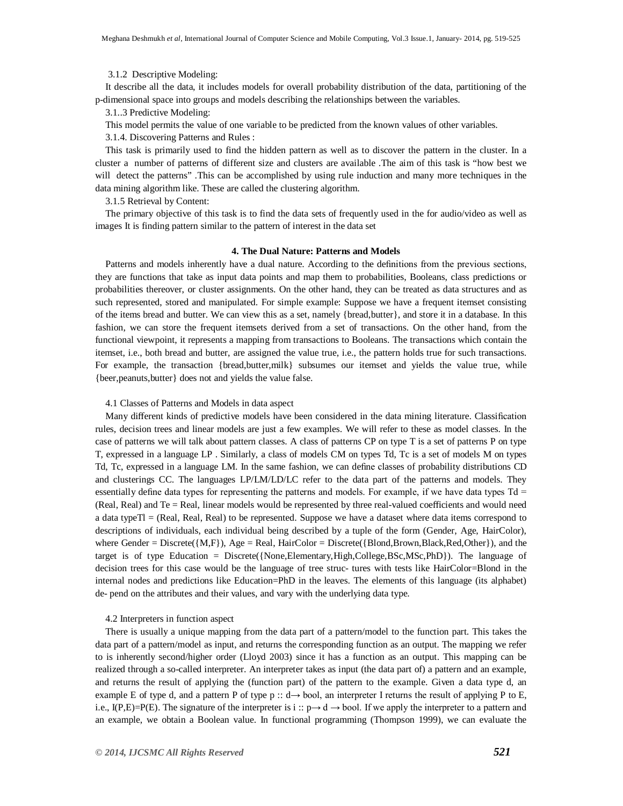#### 3.1.2 Descriptive Modeling:

It describe all the data, it includes models for overall probability distribution of the data, partitioning of the p-dimensional space into groups and models describing the relationships between the variables.

3.1..3 Predictive Modeling:

This model permits the value of one variable to be predicted from the known values of other variables.

3.1.4. Discovering Patterns and Rules :

This task is primarily used to find the hidden pattern as well as to discover the pattern in the cluster. In a cluster a number of patterns of different size and clusters are available .The aim of this task is "how best we will detect the patterns" .This can be accomplished by using rule induction and many more techniques in the data mining algorithm like. These are called the clustering algorithm.

3.1.5 Retrieval by Content:

The primary objective of this task is to find the data sets of frequently used in the for audio/video as well as images It is finding pattern similar to the pattern of interest in the data set

#### **4. The Dual Nature: Patterns and Models**

Patterns and models inherently have a dual nature. According to the definitions from the previous sections, they are functions that take as input data points and map them to probabilities, Booleans, class predictions or probabilities thereover, or cluster assignments. On the other hand, they can be treated as data structures and as such represented, stored and manipulated. For simple example: Suppose we have a frequent itemset consisting of the items bread and butter. We can view this as a set, namely {bread,butter}, and store it in a database. In this fashion, we can store the frequent itemsets derived from a set of transactions. On the other hand, from the functional viewpoint, it represents a mapping from transactions to Booleans. The transactions which contain the itemset, i.e., both bread and butter, are assigned the value true, i.e., the pattern holds true for such transactions. For example, the transaction {bread,butter,milk} subsumes our itemset and yields the value true, while {beer,peanuts,butter} does not and yields the value false.

#### 4.1 Classes of Patterns and Models in data aspect

Many different kinds of predictive models have been considered in the data mining literature. Classification rules, decision trees and linear models are just a few examples. We will refer to these as model classes. In the case of patterns we will talk about pattern classes. A class of patterns CP on type T is a set of patterns P on type T, expressed in a language LP . Similarly, a class of models CM on types Td, Tc is a set of models M on types Td, Tc, expressed in a language LM. In the same fashion, we can define classes of probability distributions CD and clusterings CC. The languages LP/LM/LD/LC refer to the data part of the patterns and models. They essentially define data types for representing the patterns and models. For example, if we have data types Td = (Real, Real) and Te = Real, linear models would be represented by three real-valued coefficients and would need a data typeTl = (Real, Real, Real) to be represented. Suppose we have a dataset where data items correspond to descriptions of individuals, each individual being described by a tuple of the form (Gender, Age, HairColor), where Gender = Discrete({M,F}), Age = Real, HairColor = Discrete({Blond,Brown,Black,Red,Other}), and the target is of type Education = Discrete({None,Elementary,High,College,BSc,MSc,PhD}). The language of decision trees for this case would be the language of tree struc- tures with tests like HairColor=Blond in the internal nodes and predictions like Education=PhD in the leaves. The elements of this language (its alphabet) de- pend on the attributes and their values, and vary with the underlying data type.

#### 4.2 Interpreters in function aspect

There is usually a unique mapping from the data part of a pattern/model to the function part. This takes the data part of a pattern/model as input, and returns the corresponding function as an output. The mapping we refer to is inherently second/higher order (Lloyd 2003) since it has a function as an output. This mapping can be realized through a so-called interpreter. An interpreter takes as input (the data part of) a pattern and an example, and returns the result of applying the (function part) of the pattern to the example. Given a data type d, an example E of type d, and a pattern P of type p ::  $d \rightarrow$  bool, an interpreter I returns the result of applying P to E, i.e., I(P,E)=P(E). The signature of the interpreter is i ::  $p \rightarrow d \rightarrow$  bool. If we apply the interpreter to a pattern and an example, we obtain a Boolean value. In functional programming (Thompson 1999), we can evaluate the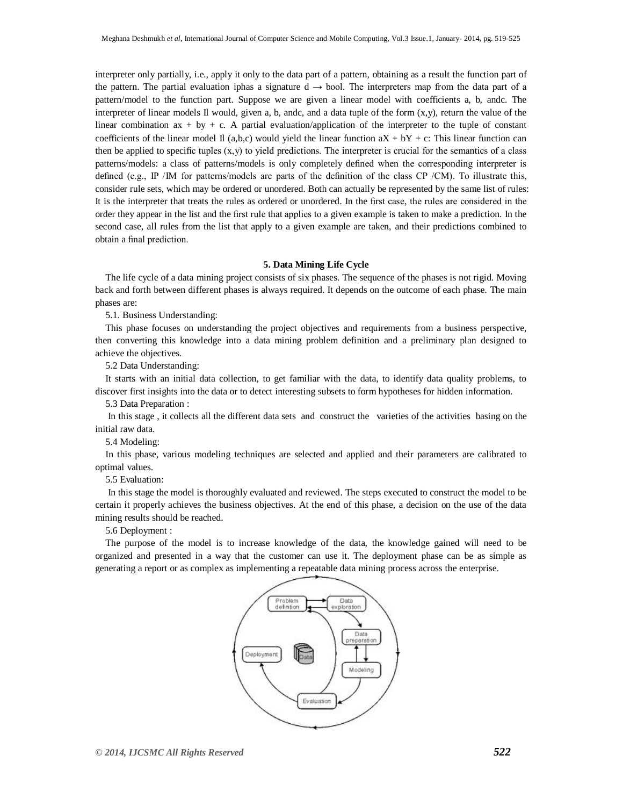interpreter only partially, i.e., apply it only to the data part of a pattern, obtaining as a result the function part of the pattern. The partial evaluation iphas a signature  $d \rightarrow$  bool. The interpreters map from the data part of a pattern/model to the function part. Suppose we are given a linear model with coefficients a, b, andc. The interpreter of linear models Il would, given a, b, andc, and a data tuple of the form  $(x,y)$ , return the value of the linear combination  $ax + by + c$ . A partial evaluation/application of the interpreter to the tuple of constant coefficients of the linear model II (a,b,c) would yield the linear function aX + bY + c: This linear function can then be applied to specific tuples  $(x, y)$  to yield predictions. The interpreter is crucial for the semantics of a class patterns/models: a class of patterns/models is only completely defined when the corresponding interpreter is defined (e.g., IP /IM for patterns/models are parts of the definition of the class CP /CM). To illustrate this, consider rule sets, which may be ordered or unordered. Both can actually be represented by the same list of rules: It is the interpreter that treats the rules as ordered or unordered. In the first case, the rules are considered in the order they appear in the list and the first rule that applies to a given example is taken to make a prediction. In the second case, all rules from the list that apply to a given example are taken, and their predictions combined to obtain a final prediction.

#### **5. Data Mining Life Cycle**

The life cycle of a data mining project consists of six phases. The sequence of the phases is not rigid. Moving back and forth between different phases is always required. It depends on the outcome of each phase. The main phases are:

5.1. Business Understanding:

This phase focuses on understanding the project objectives and requirements from a business perspective, then converting this knowledge into a data mining problem definition and a preliminary plan designed to achieve the objectives.

5.2 Data Understanding:

It starts with an initial data collection, to get familiar with the data, to identify data quality problems, to discover first insights into the data or to detect interesting subsets to form hypotheses for hidden information.

5.3 Data Preparation :

In this stage , it collects all the different data sets and construct the varieties of the activities basing on the initial raw data.

5.4 Modeling:

In this phase, various modeling techniques are selected and applied and their parameters are calibrated to optimal values.

5.5 Evaluation:

In this stage the model is thoroughly evaluated and reviewed. The steps executed to construct the model to be certain it properly achieves the business objectives. At the end of this phase, a decision on the use of the data mining results should be reached.

5.6 Deployment :

The purpose of the model is to increase knowledge of the data, the knowledge gained will need to be organized and presented in a way that the customer can use it. The deployment phase can be as simple as generating a report or as complex as implementing a repeatable data mining process across the enterprise.

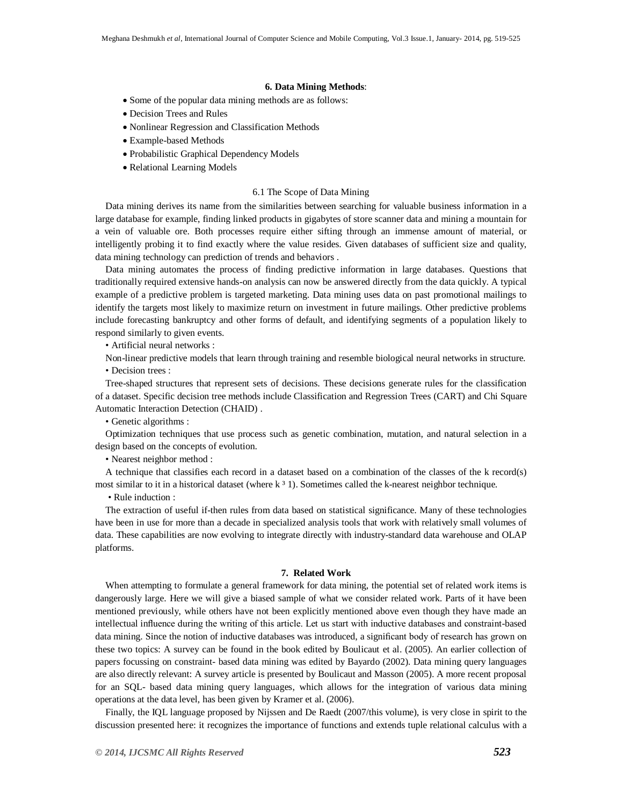#### **6. Data Mining Methods**:

- Some of the popular data mining methods are as follows:
- Decision Trees and Rules
- Nonlinear Regression and Classification Methods
- Example-based Methods
- Probabilistic Graphical Dependency Models
- Relational Learning Models

#### 6.1 The Scope of Data Mining

Data mining derives its name from the similarities between searching for valuable business information in a large database for example, finding linked products in gigabytes of store scanner data and mining a mountain for a vein of valuable ore. Both processes require either sifting through an immense amount of material, or intelligently probing it to find exactly where the value resides. Given databases of sufficient size and quality, data mining technology can prediction of trends and behaviors .

Data mining automates the process of finding predictive information in large databases. Questions that traditionally required extensive hands-on analysis can now be answered directly from the data quickly. A typical example of a predictive problem is targeted marketing. Data mining uses data on past promotional mailings to identify the targets most likely to maximize return on investment in future mailings. Other predictive problems include forecasting bankruptcy and other forms of default, and identifying segments of a population likely to respond similarly to given events.

• Artificial neural networks :

Non-linear predictive models that learn through training and resemble biological neural networks in structure. • Decision trees :

Tree-shaped structures that represent sets of decisions. These decisions generate rules for the classification of a dataset. Specific decision tree methods include Classification and Regression Trees (CART) and Chi Square Automatic Interaction Detection (CHAID) .

• Genetic algorithms :

Optimization techniques that use process such as genetic combination, mutation, and natural selection in a design based on the concepts of evolution.

• Nearest neighbor method :

A technique that classifies each record in a dataset based on a combination of the classes of the k record(s) most similar to it in a historical dataset (where k 3 1). Sometimes called the k-nearest neighbor technique.

• Rule induction :

The extraction of useful if-then rules from data based on statistical significance. Many of these technologies have been in use for more than a decade in specialized analysis tools that work with relatively small volumes of data. These capabilities are now evolving to integrate directly with industry-standard data warehouse and OLAP platforms.

#### **7. Related Work**

When attempting to formulate a general framework for data mining, the potential set of related work items is dangerously large. Here we will give a biased sample of what we consider related work. Parts of it have been mentioned previously, while others have not been explicitly mentioned above even though they have made an intellectual influence during the writing of this article. Let us start with inductive databases and constraint-based data mining. Since the notion of inductive databases was introduced, a significant body of research has grown on these two topics: A survey can be found in the book edited by Boulicaut et al. (2005). An earlier collection of papers focussing on constraint- based data mining was edited by Bayardo (2002). Data mining query languages are also directly relevant: A survey article is presented by Boulicaut and Masson (2005). A more recent proposal for an SQL- based data mining query languages, which allows for the integration of various data mining operations at the data level, has been given by Kramer et al. (2006).

Finally, the IQL language proposed by Nijssen and De Raedt (2007/this volume), is very close in spirit to the discussion presented here: it recognizes the importance of functions and extends tuple relational calculus with a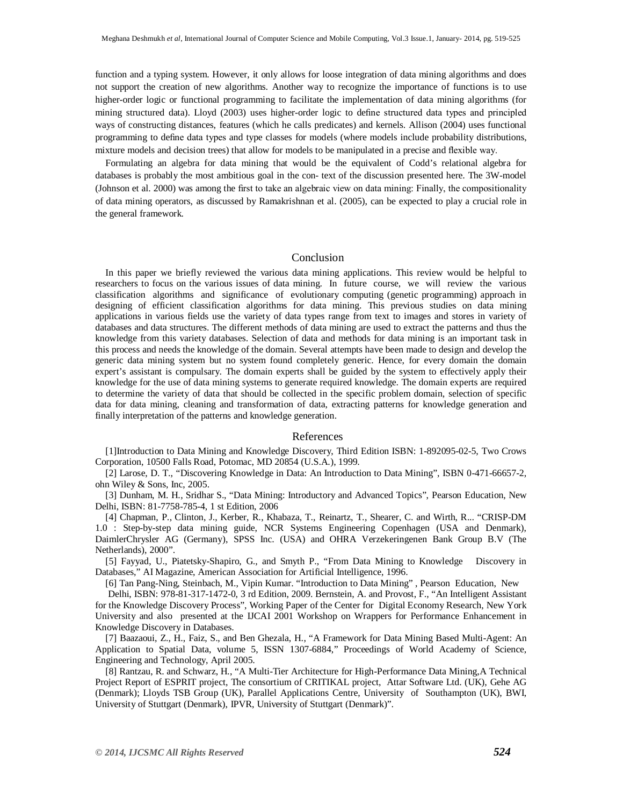function and a typing system. However, it only allows for loose integration of data mining algorithms and does not support the creation of new algorithms. Another way to recognize the importance of functions is to use higher-order logic or functional programming to facilitate the implementation of data mining algorithms (for mining structured data). Lloyd (2003) uses higher-order logic to define structured data types and principled ways of constructing distances, features (which he calls predicates) and kernels. Allison (2004) uses functional programming to define data types and type classes for models (where models include probability distributions, mixture models and decision trees) that allow for models to be manipulated in a precise and flexible way.

Formulating an algebra for data mining that would be the equivalent of Codd's relational algebra for databases is probably the most ambitious goal in the con- text of the discussion presented here. The 3W-model (Johnson et al. 2000) was among the first to take an algebraic view on data mining: Finally, the compositionality of data mining operators, as discussed by Ramakrishnan et al. (2005), can be expected to play a crucial role in the general framework.

## Conclusion

In this paper we briefly reviewed the various data mining applications. This review would be helpful to researchers to focus on the various issues of data mining. In future course, we will review the various classification algorithms and significance of evolutionary computing (genetic programming) approach in designing of efficient classification algorithms for data mining. This previous studies on data mining applications in various fields use the variety of data types range from text to images and stores in variety of databases and data structures. The different methods of data mining are used to extract the patterns and thus the knowledge from this variety databases. Selection of data and methods for data mining is an important task in this process and needs the knowledge of the domain. Several attempts have been made to design and develop the generic data mining system but no system found completely generic. Hence, for every domain the domain expert's assistant is compulsary. The domain experts shall be guided by the system to effectively apply their knowledge for the use of data mining systems to generate required knowledge. The domain experts are required to determine the variety of data that should be collected in the specific problem domain, selection of specific data for data mining, cleaning and transformation of data, extracting patterns for knowledge generation and finally interpretation of the patterns and knowledge generation.

#### References

[1]Introduction to Data Mining and Knowledge Discovery, Third Edition ISBN: 1-892095-02-5, Two Crows Corporation, 10500 Falls Road, Potomac, MD 20854 (U.S.A.), 1999.

[2] Larose, D. T., "Discovering Knowledge in Data: An Introduction to Data Mining", ISBN 0-471-66657-2, ohn Wiley & Sons, Inc, 2005.

[3] Dunham, M. H., Sridhar S., "Data Mining: Introductory and Advanced Topics", Pearson Education, New Delhi, ISBN: 81-7758-785-4, 1 st Edition, 2006

[4] Chapman, P., Clinton, J., Kerber, R., Khabaza, T., Reinartz, T., Shearer, C. and Wirth, R... "CRISP-DM 1.0 : Step-by-step data mining guide, NCR Systems Engineering Copenhagen (USA and Denmark), DaimlerChrysler AG (Germany), SPSS Inc. (USA) and OHRA Verzekeringenen Bank Group B.V (The Netherlands), 2000".

[5] Fayyad, U., Piatetsky-Shapiro, G., and Smyth P., "From Data Mining to Knowledge Discovery in Databases," AI Magazine, American Association for Artificial Intelligence, 1996.

[6] Tan Pang-Ning, Steinbach, M., Vipin Kumar. "Introduction to Data Mining" , Pearson Education, New

Delhi, ISBN: 978-81-317-1472-0, 3 rd Edition, 2009. Bernstein, A. and Provost, F., "An Intelligent Assistant for the Knowledge Discovery Process", Working Paper of the Center for Digital Economy Research, New York University and also presented at the IJCAI 2001 Workshop on Wrappers for Performance Enhancement in Knowledge Discovery in Databases.

[7] Baazaoui, Z., H., Faiz, S., and Ben Ghezala, H., "A Framework for Data Mining Based Multi-Agent: An Application to Spatial Data, volume 5, ISSN 1307-6884," Proceedings of World Academy of Science, Engineering and Technology, April 2005.

[8] Rantzau, R. and Schwarz, H., "A Multi-Tier Architecture for High-Performance Data Mining,A Technical Project Report of ESPRIT project, The consortium of CRITIKAL project, Attar Software Ltd. (UK), Gehe AG (Denmark); Lloyds TSB Group (UK), Parallel Applications Centre, University of Southampton (UK), BWI, University of Stuttgart (Denmark), IPVR, University of Stuttgart (Denmark)".